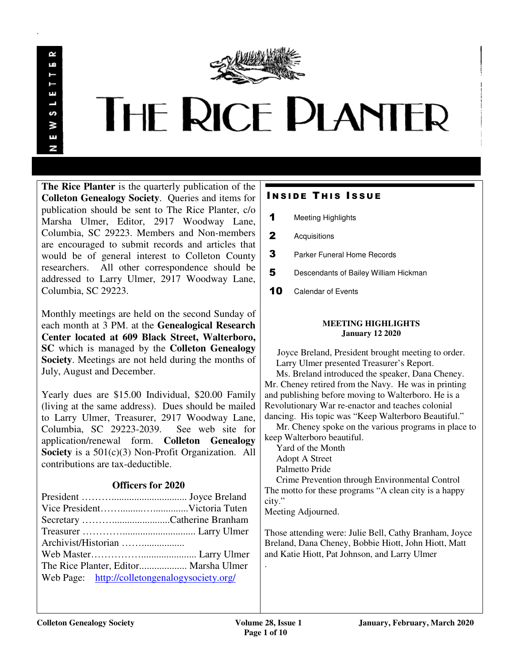

 $\sim$ 

.

# **THE RICE PLANTER**

**The Rice Planter** is the quarterly publication of the **Colleton Genealogy Society**. Queries and items for publication should be sent to The Rice Planter, c/o Marsha Ulmer, Editor, 2917 Woodway Lane, Columbia, SC 29223. Members and Non-members are encouraged to submit records and articles that would be of general interest to Colleton County researchers. All other correspondence should be addressed to Larry Ulmer, 2917 Woodway Lane, Columbia, SC 29223.

Monthly meetings are held on the second Sunday of each month at 3 PM. at the **Genealogical Research Center located at 609 Black Street, Walterboro, SC** which is managed by the **Colleton Genealogy Society**. Meetings are not held during the months of July, August and December.

Yearly dues are \$15.00 Individual, \$20.00 Family (living at the same address). Dues should be mailed to Larry Ulmer, Treasurer, 2917 Woodway Lane, Columbia, SC 29223-2039. See web site for application/renewal form. **Colleton Genealogy Society** is a 501(c)(3) Non-Profit Organization. All contributions are tax-deductible.

### **Officers for 2020**

| The Rice Planter, Editor Marsha Ulmer         |
|-----------------------------------------------|
| Web Page: http://colletongenalogysociety.org/ |
|                                               |

### **INSIDE THIS ISSUE**

- 1 Meeting Highlights
- 2 Acquisitions
- **3** Parker Funeral Home Records
- 5 Descendants of Bailey William Hickman
- 10 Calendar of Events

#### **MEETING HIGHLIGHTS January 12 2020**

 Joyce Breland, President brought meeting to order. Larry Ulmer presented Treasurer's Report.

 Ms. Breland introduced the speaker, Dana Cheney. Mr. Cheney retired from the Navy. He was in printing and publishing before moving to Walterboro. He is a Revolutionary War re-enactor and teaches colonial dancing. His topic was "Keep Walterboro Beautiful."

 Mr. Cheney spoke on the various programs in place to keep Walterboro beautiful.

 Yard of the Month Adopt A Street Palmetto Pride Crime Prevention through Environmental Control The motto for these programs "A clean city is a happy city."

Meeting Adjourned.

Those attending were: Julie Bell, Cathy Branham, Joyce Breland, Dana Cheney, Bobbie Hiott, John Hiott, Matt and Katie Hiott, Pat Johnson, and Larry Ulmer

.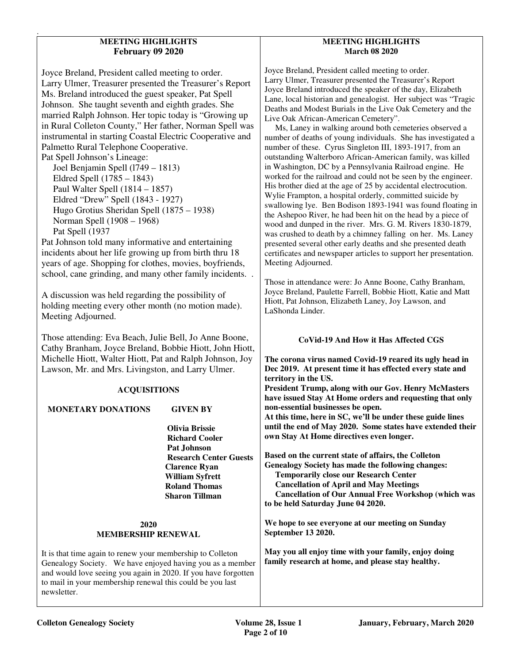#### **MEETING HIGHLIGHTS February 09 2020**

.

Joyce Breland, President called meeting to order. Larry Ulmer, Treasurer presented the Treasurer's Report Ms. Breland introduced the guest speaker, Pat Spell Johnson. She taught seventh and eighth grades. She married Ralph Johnson. Her topic today is "Growing up in Rural Colleton County," Her father, Norman Spell was instrumental in starting Coastal Electric Cooperative and Palmetto Rural Telephone Cooperative. Pat Spell Johnson's Lineage: Joel Benjamin Spell (l749 – 1813) Eldred Spell (1785 – 1843) Paul Walter Spell (1814 – 1857) Eldred "Drew" Spell (1843 - 1927) Hugo Grotius Sheridan Spell (1875 – 1938) Norman Spell (1908 – 1968) Pat Spell (1937 Pat Johnson told many informative and entertaining incidents about her life growing up from birth thru 18 years of age. Shopping for clothes, movies, boyfriends, school, cane grinding, and many other family incidents. .

A discussion was held regarding the possibility of holding meeting every other month (no motion made). Meeting Adjourned.

Those attending: Eva Beach, Julie Bell, Jo Anne Boone, Cathy Branham, Joyce Breland, Bobbie Hiott, John Hiott, Michelle Hiott, Walter Hiott, Pat and Ralph Johnson, Joy Lawson, Mr. and Mrs. Livingston, and Larry Ulmer.

#### **ACQUISITIONS**

## **MONETARY DONATIONS GIVEN BY**

 **Olivia Brissie Richard Cooler Pat Johnson Research Center Guests Clarence Ryan William Syfrett Roland Thomas Sharon Tillman** 

#### **2020 MEMBERSHIP RENEWAL**

It is that time again to renew your membership to Colleton Genealogy Society. We have enjoyed having you as a member and would love seeing you again in 2020. If you have forgotten to mail in your membership renewal this could be you last newsletter.

#### **MEETING HIGHLIGHTS March 08 2020**

Joyce Breland, President called meeting to order. Larry Ulmer, Treasurer presented the Treasurer's Report Joyce Breland introduced the speaker of the day, Elizabeth Lane, local historian and genealogist. Her subject was "Tragic Deaths and Modest Burials in the Live Oak Cemetery and the Live Oak African-American Cemetery".

 Ms, Laney in walking around both cemeteries observed a number of deaths of young individuals. She has investigated a number of these. Cyrus Singleton III, 1893-1917, from an outstanding Walterboro African-American family, was killed in Washington, DC by a Pennsylvania Railroad engine. He worked for the railroad and could not be seen by the engineer. His brother died at the age of 25 by accidental electrocution. Wylie Frampton, a hospital orderly, committed suicide by swallowing lye. Ben Bodison 1893-1941 was found floating in the Ashepoo River, he had been hit on the head by a piece of wood and dunped in the river. Mrs. G. M. Rivers 1830-1879, was crushed to death by a chimney falling on her. Ms. Laney presented several other early deaths and she presented death certificates and newspaper articles to support her presentation. Meeting Adjourned.

Those in attendance were: Jo Anne Boone, Cathy Branham, Joyce Breland, Paulette Farrell, Bobbie Hiott, Katie and Matt Hiott, Pat Johnson, Elizabeth Laney, Joy Lawson, and LaShonda Linder.

#### **CoVid-19 And How it Has Affected CGS**

**The corona virus named Covid-19 reared its ugly head in Dec 2019. At present time it has effected every state and territory in the US.** 

**President Trump, along with our Gov. Henry McMasters have issued Stay At Home orders and requesting that only non-essential businesses be open.** 

**At this time, here in SC, we'll be under these guide lines until the end of May 2020. Some states have extended their own Stay At Home directives even longer.** 

**Based on the current state of affairs, the Colleton Genealogy Society has made the following changes: Temporarily close our Research Center Cancellation of April and May Meetings Cancellation of Our Annual Free Workshop (which was to be held Saturday June 04 2020.** 

**We hope to see everyone at our meeting on Sunday September 13 2020.** 

**May you all enjoy time with your family, enjoy doing family research at home, and please stay healthy.**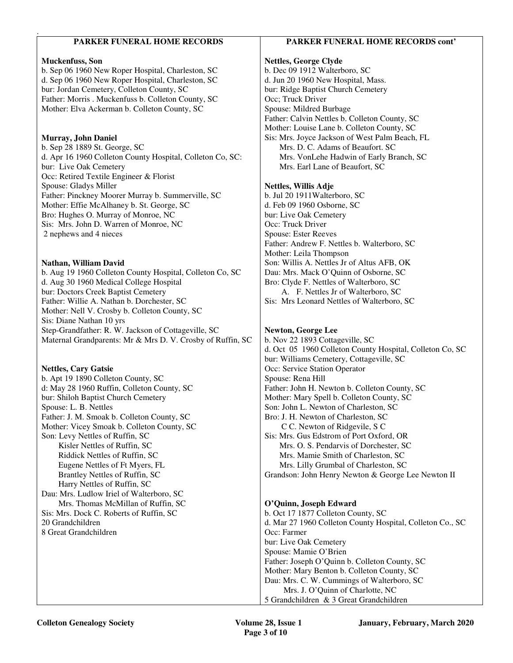#### . **PARKER FUNERAL HOME RECORDS Muckenfuss, Son**  b. Sep 06 1960 New Roper Hospital, Charleston, SC d. Sep 06 1960 New Roper Hospital, Charleston, SC bur: Jordan Cemetery, Colleton County, SC Father: Morris . Muckenfuss b. Colleton County, SC Mother: Elva Ackerman b. Colleton County, SC **Murray, John Daniel** b. Sep 28 1889 St. George, SC d. Apr 16 1960 Colleton County Hospital, Colleton Co, SC: bur: Live Oak Cemetery Occ: Retired Textile Engineer & Florist Spouse: Gladys Miller Father: Pinckney Moorer Murray b. Summerville, SC Mother: Effie McAlhaney b. St. George, SC Bro: Hughes O. Murray of Monroe, NC Sis: Mrs. John D. Warren of Monroe, NC 2 nephews and 4 nieces **Nathan, William David**  b. Aug 19 1960 Colleton County Hospital, Colleton Co, SC d. Aug 30 1960 Medical College Hospital bur: Doctors Creek Baptist Cemetery Father: Willie A. Nathan b. Dorchester, SC Mother: Nell V. Crosby b. Colleton County, SC Sis: Diane Nathan 10 yrs Step-Grandfather: R. W. Jackson of Cottageville, SC Maternal Grandparents: Mr & Mrs D. V. Crosby of Ruffin, SC **Nettles, Cary Gatsie**  b. Apt 19 1890 Colleton County, SC d: May 28 1960 Ruffin, Colleton County, SC bur: Shiloh Baptist Church Cemetery Spouse: L. B. Nettles Father: J. M. Smoak b. Colleton County, SC Mother: Vicey Smoak b. Colleton County, SC Son: Levy Nettles of Ruffin, SC Kisler Nettles of Ruffin, SC Riddick Nettles of Ruffin, SC Eugene Nettles of Ft Myers, FL Brantley Nettles of Ruffin, SC Harry Nettles of Ruffin, SC Dau: Mrs. Ludlow Iriel of Walterboro, SC Mrs. Thomas McMillan of Ruffin, SC Sis: Mrs. Dock C. Roberts of Ruffin, SC 20 Grandchildren 8 Great Grandchildren **PARKER FUNERAL HOME RECORDS cont' Nettles, George Clyde**  b. Dec 09 1912 Walterboro, SC d. Jun 20 1960 New Hospital, Mass. bur: Ridge Baptist Church Cemetery Occ; Truck Driver Spouse: Mildred Burbage Father: Calvin Nettles b. Colleton County, SC Mother: Louise Lane b. Colleton County, SC Sis: Mrs. Joyce Jackson of West Palm Beach, FL Mrs. D. C. Adams of Beaufort. SC Mrs. VonLehe Hadwin of Early Branch, SC Mrs. Earl Lane of Beaufort, SC **Nettles, Willis Adje**  b. Jul 20 1911Walterboro, SC d. Feb 09 1960 Osborne, SC bur: Live Oak Cemetery Occ: Truck Driver Spouse: Ester Reeves Father: Andrew F. Nettles b. Walterboro, SC Mother: Leila Thompson Son: Willis A. Nettles Jr of Altus AFB, OK Dau: Mrs. Mack O'Quinn of Osborne, SC Bro: Clyde F. Nettles of Walterboro, SC A. F. Nettles Jr of Walterboro, SC Sis: Mrs Leonard Nettles of Walterboro, SC **Newton, George Lee**  b. Nov 22 1893 Cottageville, SC d. Oct 05 1960 Colleton County Hospital, Colleton Co, SC bur: Williams Cemetery, Cottageville, SC Occ: Service Station Operator Spouse: Rena Hill Father: John H. Newton b. Colleton County, SC Mother: Mary Spell b. Colleton County, SC Son: John L. Newton of Charleston, SC Bro: J. H. Newton of Charleston, SC C C. Newton of Ridgevile, S C Sis: Mrs. Gus Edstrom of Port Oxford, OR Mrs. O. S. Pendarvis of Dorchester, SC Mrs. Mamie Smith of Charleston, SC Mrs. Lilly Grumbal of Charleston, SC Grandson: John Henry Newton & George Lee Newton II **O'Quinn, Joseph Edward**  b. Oct 17 1877 Colleton County, SC d. Mar 27 1960 Colleton County Hospital, Colleton Co., SC Occ: Farmer bur: Live Oak Cemetery Spouse: Mamie O'Brien Father: Joseph O'Quinn b. Colleton County, SC Mother: Mary Benton b. Colleton County, SC Dau: Mrs. C. W. Cummings of Walterboro, SC Mrs. J. O'Quinn of Charlotte, NC 5 Grandchildren & 3 Great Grandchildren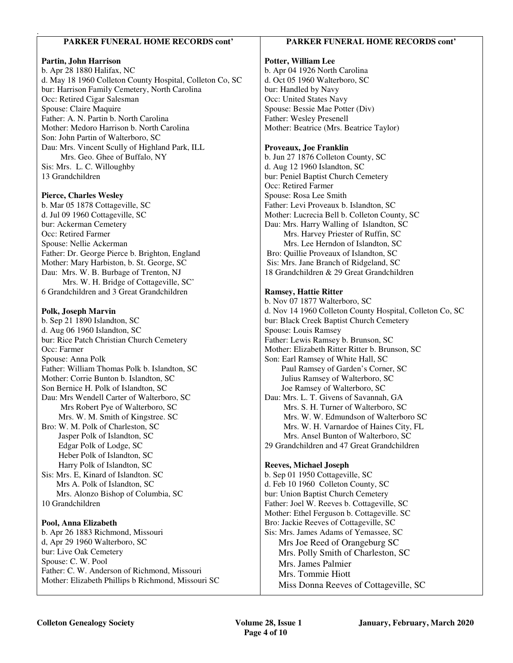#### **PARKER FUNERAL HOME RECORDS cont'**

#### **Partin, John Harrison**

.

b. Apr 28 1880 Halifax, NC d. May 18 1960 Colleton County Hospital, Colleton Co, SC bur: Harrison Family Cemetery, North Carolina Occ: Retired Cigar Salesman Spouse: Claire Maquire Father: A. N. Partin b. North Carolina Mother: Medoro Harrison b. North Carolina Son: John Partin of Walterboro, SC Dau: Mrs. Vincent Scully of Highland Park, ILL Mrs. Geo. Ghee of Buffalo, NY Sis: Mrs. L. C. Willoughby 13 Grandchildren

#### **Pierce, Charles Wesley**

b. Mar 05 1878 Cottageville, SC d. Jul 09 1960 Cottageville, SC bur: Ackerman Cemetery Occ: Retired Farmer Spouse: Nellie Ackerman Father: Dr. George Pierce b. Brighton, England Mother: Mary Harbiston, b. St. George, SC Dau: Mrs. W. B. Burbage of Trenton, NJ Mrs. W. H. Bridge of Cottageville, SC' 6 Grandchildren and 3 Great Grandchildren

#### **Polk, Joseph Marvin**

b. Sep 21 1890 Islandton, SC d. Aug 06 1960 Islandton, SC bur: Rice Patch Christian Church Cemetery Occ: Farmer Spouse: Anna Polk Father: William Thomas Polk b. Islandton, SC Mother: Corrie Bunton b. Islandton, SC Son Bernice H. Polk of Islandton, SC Dau: Mrs Wendell Carter of Walterboro, SC Mrs Robert Pye of Walterboro, SC Mrs. W. M. Smith of Kingstree. SC Bro: W. M. Polk of Charleston, SC Jasper Polk of Islandton, SC Edgar Polk of Lodge, SC Heber Polk of Islandton, SC Harry Polk of Islandton, SC Sis: Mrs. E, Kinard of Islandton. SC Mrs A. Polk of Islandton, SC Mrs. Alonzo Bishop of Columbia, SC 10 Grandchildren

#### **Pool, Anna Elizabeth**

b. Apr 26 1883 Richmond, Missouri d, Apr 29 1960 Walterboro, SC bur: Live Oak Cemetery Spouse: C. W. Pool Father: C. W. Anderson of Richmond, Missouri Mother: Elizabeth Phillips b Richmond, Missouri SC

#### **PARKER FUNERAL HOME RECORDS cont'**

#### **Potter, William Lee**

b. Apr 04 1926 North Carolina d. Oct 05 1960 Walterboro, SC bur: Handled by Navy Occ: United States Navy Spouse: Bessie Mae Potter (Div) Father: Wesley Presenell Mother: Beatrice (Mrs. Beatrice Taylor)

#### **Proveaux, Joe Franklin**

b. Jun 27 1876 Colleton County, SC d. Aug 12 1960 Islandton, SC bur: Peniel Baptist Church Cemetery Occ: Retired Farmer Spouse: Rosa Lee Smith Father: Levi Proveaux b. Islandton, SC Mother: Lucrecia Bell b. Colleton County, SC Dau: Mrs. Harry Walling of Islandton, SC Mrs. Harvey Priester of Ruffin, SC Mrs. Lee Herndon of Islandton, SC Bro: Quillie Proveaux of Islandton, SC Sis: Mrs. Jane Branch of Ridgeland, SC 18 Grandchildren & 29 Great Grandchildren

#### **Ramsey, Hattie Ritter**

b. Nov 07 1877 Walterboro, SC d. Nov 14 1960 Colleton County Hospital, Colleton Co, SC bur: Black Creek Baptist Church Cemetery Spouse: Louis Ramsey Father: Lewis Ramsey b. Brunson, SC Mother: Elizabeth Ritter Ritter b. Brunson, SC Son: Earl Ramsey of White Hall, SC Paul Ramsey of Garden's Corner, SC Julius Ramsey of Walterboro, SC Joe Ramsey of Walterboro, SC Dau: Mrs. L. T. Givens of Savannah, GA Mrs. S. H. Turner of Walterboro, SC Mrs. W. W. Edmundson of Walterboro SC Mrs. W. H. Varnardoe of Haines City, FL Mrs. Ansel Bunton of Walterboro, SC 29 Grandchildren and 47 Great Grandchildren **Reeves, Michael Joseph** 

b. Sep 01 1950 Cottageville, SC d. Feb 10 1960 Colleton County, SC bur: Union Baptist Church Cemetery Father: Joel W. Reeves b. Cottageville, SC Mother: Ethel Ferguson b. Cottageville. SC Bro: Jackie Reeves of Cottageville, SC Sis: Mrs. James Adams of Yemassee, SC Mrs Joe Reed of Orangeburg SC Mrs. Polly Smith of Charleston, SC Mrs. James Palmier Mrs. Tommie Hiott

Miss Donna Reeves of Cottageville, SC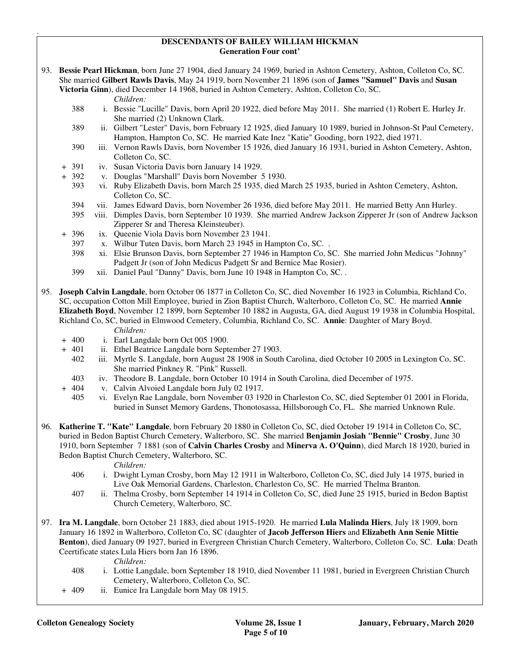#### **DESCENDANTS OF BAILEY WILLIAM HICKMAN Generation Four cont'**

93. **Bessie Pearl Hickman**, born June 27 1904, died January 24 1969, buried in Ashton Cemetery, Ashton, Colleton Co, SC. She married **Gilbert Rawls Davis**, May 24 1919, born November 21 1896 (son of **James "Samuel" Davis** and **Susan** 

**Victoria Ginn**), died December 14 1968, buried in Ashton Cemetery, Ashton, Colleton Co, SC.

*Children:*

.

- 388 i. Bessie "Lucille" Davis, born April 20 1922, died before May 2011. She married (1) Robert E. Hurley Jr. She married (2) Unknown Clark.
- 389 ii. Gilbert "Lester" Davis, born February 12 1925, died January 10 1989, buried in Johnson-St Paul Cemetery, Hampton, Hampton Co, SC. He married Kate Inez "Katie" Gooding, born 1922, died 1971.
- 390 iii. Vernon Rawls Davis, born November 15 1926, died January 16 1931, buried in Ashton Cemetery, Ashton, Colleton Co, SC.
- + 391 iv. Susan Victoria Davis born January 14 1929.
- + 392 v. Douglas "Marshall" Davis born November 5 1930.
	- 393 vi. Ruby Elizabeth Davis, born March 25 1935, died March 25 1935, buried in Ashton Cemetery, Ashton, Colleton Co, SC.
	- 394 vii. James Edward Davis, born November 26 1936, died before May 2011. He married Betty Ann Hurley.
	- 395 viii. Dimples Davis, born September 10 1939. She married Andrew Jackson Zipperer Jr (son of Andrew Jackson Zipperer Sr and Theresa Kleinsteuber).
	- 396 ix. Queenie Viola Davis born November 23 1941.<br>397 x. Wilbur Tuten Davis, born March 23 1945 in Ha
	- x. Wilbur Tuten Davis, born March 23 1945 in Hampton Co, SC..
	- 398 xi. Elsie Brunson Davis, born September 27 1946 in Hampton Co, SC. She married John Medicus "Johnny" Padgett Jr (son of John Medicus Padgett Sr and Bernice Mae Rosier).
	- 399 xii. Daniel Paul "Danny" Davis, born June 10 1948 in Hampton Co, SC. .
- 95. **Joseph Calvin Langdale**, born October 06 1877 in Colleton Co, SC, died November 16 1923 in Columbia, Richland Co, SC, occupation Cotton Mill Employee, buried in Zion Baptist Church, Walterboro, Colleton Co, SC. He married **Annie Elizabeth Boyd**, November 12 1899, born September 10 1882 in Augusta, GA, died August 19 1938 in Columbia Hospital, Richland Co, SC, buried in Elmwood Cemetery, Columbia, Richland Co, SC. **Annie**: Daughter of Mary Boyd. *Children:*
	-
	- + 400 i. Earl Langdale born Oct 005 1900.
	- + 401 ii. Ethel Beatrice Langdale born September 27 1903.<br>402 iii. Myrtle S. Langdale, born August 28 1908 in South
		- iii. Myrtle S. Langdale, born August 28 1908 in South Carolina, died October 10 2005 in Lexington Co, SC. She married Pinkney R. "Pink" Russell.
		- 403 iv. Theodore B. Langdale, born October 10 1914 in South Carolina, died December of 1975.
	- v. Calvin Alvoied Langdale born July 02 1917.
	- 405 vi. Evelyn Rae Langdale, born November 03 1920 in Charleston Co, SC, died September 01 2001 in Florida, buried in Sunset Memory Gardens, Thonotosassa, Hillsborough Co, FL. She married Unknown Rule.
- 96. **Katherine T. "Kate" Langdale**, born February 20 1880 in Colleton Co, SC, died October 19 1914 in Colleton Co, SC, buried in Bedon Baptist Church Cemetery, Walterboro, SC. She married **Benjamin Josiah "Bennie" Crosby**, June 30 1910, born September 7 1881 (son of **Calvin Charles Crosby** and **Minerva A. O'Quinn**), died March 18 1920, buried in Bedon Baptist Church Cemetery, Walterboro, SC.
	-
	- *Children:*<br>406 *i.* Dwight L i. Dwight Lyman Crosby, born May 12 1911 in Walterboro, Colleton Co, SC, died July 14 1975, buried in Live Oak Memorial Gardens, Charleston, Charleston Co, SC. He married Thelma Branton.
	- 407 ii. Thelma Crosby, born September 14 1914 in Colleton Co, SC, died June 25 1915, buried in Bedon Baptist Church Cemetery, Walterboro, SC.
- 97. **Ira M. Langdale**, born October 21 1883, died about 1915-1920. He married **Lula Malinda Hiers**, July 18 1909, born January 16 1892 in Walterboro, Colleton Co, SC (daughter of **Jacob Jefferson Hiers** and **Elizabeth Ann Senie Mittie Benton**), died January 09 1927, buried in Evergreen Christian Church Cemetery, Walterboro, Colleton Co, SC. **Lula**: Death Ceertificate states Lula Hiers born Jan 16 1896.

- 408 i. Lottie Langdale, born September 18 1910, died November 11 1981, buried in Evergreen Christian Church Cemetery, Walterboro, Colleton Co, SC.
- + 409 ii. Eunice Ira Langdale born May 08 1915.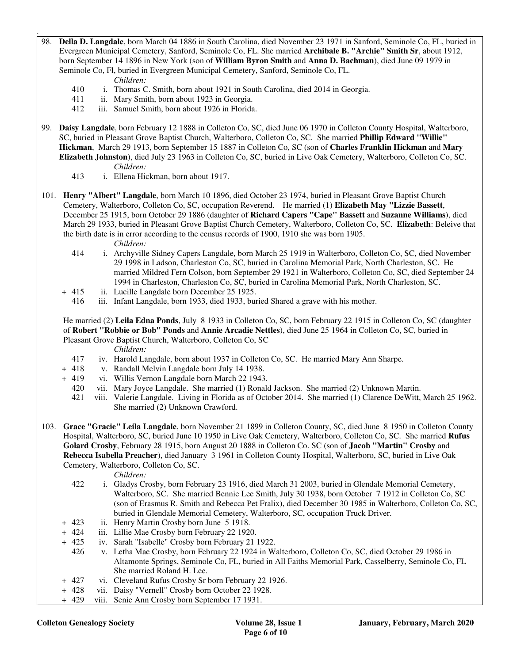. 98. **Della D. Langdale**, born March 04 1886 in South Carolina, died November 23 1971 in Sanford, Seminole Co, FL, buried in Evergreen Municipal Cemetery, Sanford, Seminole Co, FL. She married **Archibale B. "Archie" Smith Sr**, about 1912, born September 14 1896 in New York (son of **William Byron Smith** and **Anna D. Bachman**), died June 09 1979 in Seminole Co, Fl, buried in Evergreen Municipal Cemetery, Sanford, Seminole Co, FL.

*Children:*

- 410 i. Thomas C. Smith, born about 1921 in South Carolina, died 2014 in Georgia.
- 411 ii. Mary Smith, born about 1923 in Georgia.
- 412 iii. Samuel Smith, born about 1926 in Florida.
- 99. **Daisy Langdale**, born February 12 1888 in Colleton Co, SC, died June 06 1970 in Colleton County Hospital, Walterboro, SC, buried in Pleasant Grove Baptist Church, Walterboro, Colleton Co, SC. She married **Phillip Edward "Willie" Hickman**, March 29 1913, born September 15 1887 in Colleton Co, SC (son of **Charles Franklin Hickman** and **Mary Elizabeth Johnston**), died July 23 1963 in Colleton Co, SC, buried in Live Oak Cemetery, Walterboro, Colleton Co, SC. *Children:*
	- 413 i. Ellena Hickman, born about 1917.
- 101. **Henry "Albert" Langdale**, born March 10 1896, died October 23 1974, buried in Pleasant Grove Baptist Church Cemetery, Walterboro, Colleton Co, SC, occupation Reverend. He married (1) **Elizabeth May "Lizzie Bassett**, December 25 1915, born October 29 1886 (daughter of **Richard Capers "Cape" Bassett** and **Suzanne Williams**), died March 29 1933, buried in Pleasant Grove Baptist Church Cemetery, Walterboro, Colleton Co, SC. **Elizabeth**: Beleive that the birth date is in error according to the census records of 1900, 1910 she was born 1905.
	- *Children:*
	- 414 i. Archyville Sidney Capers Langdale, born March 25 1919 in Walterboro, Colleton Co, SC, died November 29 1998 in Ladson, Charleston Co, SC, buried in Carolina Memorial Park, North Charleston, SC. He married Mildred Fern Colson, born September 29 1921 in Walterboro, Colleton Co, SC, died September 24 1994 in Charleston, Charleston Co, SC, buried in Carolina Memorial Park, North Charleston, SC.
	- + 415 ii. Lucille Langdale born December 25 1925.
		- 416 iii. Infant Langdale, born 1933, died 1933, buried Shared a grave with his mother.

 He married (2) **Leila Edna Ponds**, July 8 1933 in Colleton Co, SC, born February 22 1915 in Colleton Co, SC (daughter of **Robert "Robbie or Bob" Ponds** and **Annie Arcadie Nettles**), died June 25 1964 in Colleton Co, SC, buried in Pleasant Grove Baptist Church, Walterboro, Colleton Co, SC

*Children:*

- 417 iv. Harold Langdale, born about 1937 in Colleton Co, SC. He married Mary Ann Sharpe.
- + 418 v. Randall Melvin Langdale born July 14 1938.
- + 419 vi. Willis Vernon Langdale born March 22 1943.
	- 420 vii. Mary Joyce Langdale. She married (1) Ronald Jackson. She married (2) Unknown Martin.
	- 421 viii. Valerie Langdale. Living in Florida as of October 2014. She married (1) Clarence DeWitt, March 25 1962. She married (2) Unknown Crawford.
- 103. **Grace "Gracie" Leila Langdale**, born November 21 1899 in Colleton County, SC, died June 8 1950 in Colleton County Hospital, Walterboro, SC, buried June 10 1950 in Live Oak Cemetery, Walterboro, Colleton Co, SC. She married **Rufus Golard Crosby**, February 28 1915, born August 20 1888 in Colleton Co. SC (son of **Jacob "Martin" Crosby** and **Rebecca Isabella Preacher**), died January 3 1961 in Colleton County Hospital, Walterboro, SC, buried in Live Oak Cemetery, Walterboro, Colleton Co, SC.

- 422 i. Gladys Crosby, born February 23 1916, died March 31 2003, buried in Glendale Memorial Cemetery, Walterboro, SC. She married Bennie Lee Smith, July 30 1938, born October 7 1912 in Colleton Co, SC (son of Erasmus R. Smith and Rebecca Pet Fralix), died December 30 1985 in Walterboro, Colleton Co, SC, buried in Glendale Memorial Cemetery, Walterboro, SC, occupation Truck Driver.
- + 423 ii. Henry Martin Crosby born June 5 1918.
- + 424 iii. Lillie Mae Crosby born February 22 1920.
- + 425 iv. Sarah "Isabelle" Crosby born February 21 1922.
	- 426 v. Letha Mae Crosby, born February 22 1924 in Walterboro, Colleton Co, SC, died October 29 1986 in Altamonte Springs, Seminole Co, FL, buried in All Faiths Memorial Park, Casselberry, Seminole Co, FL She married Roland H. Lee.
- + 427 vi. Cleveland Rufus Crosby Sr born February 22 1926.
- + 428 vii. Daisy "Vernell" Crosby born October 22 1928.
- + 429 viii. Senie Ann Crosby born September 17 1931.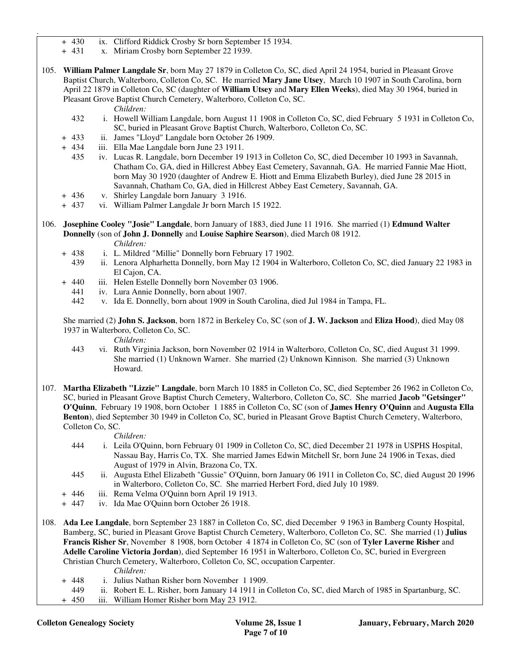- + 430 ix. Clifford Riddick Crosby Sr born September 15 1934.
- + 431 x. Miriam Crosby born September 22 1939.
- 105. **William Palmer Langdale Sr**, born May 27 1879 in Colleton Co, SC, died April 24 1954, buried in Pleasant Grove Baptist Church, Walterboro, Colleton Co, SC. He married **Mary Jane Utsey**, March 10 1907 in South Carolina, born April 22 1879 in Colleton Co, SC (daughter of **William Utsey** and **Mary Ellen Weeks**), died May 30 1964, buried in Pleasant Grove Baptist Church Cemetery, Walterboro, Colleton Co, SC.

#### *Children:*

.

- 432 i. Howell William Langdale, born August 11 1908 in Colleton Co, SC, died February 5 1931 in Colleton Co, SC, buried in Pleasant Grove Baptist Church, Walterboro, Colleton Co, SC.
- + 433 ii. James "Lloyd" Langdale born October 26 1909.
- + 434 iii. Ella Mae Langdale born June 23 1911.
	- 435 iv. Lucas R. Langdale, born December 19 1913 in Colleton Co, SC, died December 10 1993 in Savannah, Chatham Co, GA, died in Hillcrest Abbey East Cemetery, Savannah, GA. He married Fannie Mae Hiott, born May 30 1920 (daughter of Andrew E. Hiott and Emma Elizabeth Burley), died June 28 2015 in Savannah, Chatham Co, GA, died in Hillcrest Abbey East Cemetery, Savannah, GA.
- + 436 v. Shirley Langdale born January 3 1916.
- + 437 vi. William Palmer Langdale Jr born March 15 1922.
- 106. **Josephine Cooley "Josie" Langdale**, born January of 1883, died June 11 1916. She married (1) **Edmund Walter Donnelly** (son of **John J. Donnelly** and **Louise Saphire Searson**), died March 08 1912.
	- *Children:*
	- + 438 i. L. Mildred "Millie" Donnelly born February 17 1902.
		- 439 ii. Lenora Alpharhetta Donnelly, born May 12 1904 in Walterboro, Colleton Co, SC, died January 22 1983 in El Cajon, CA.
	- + 440 iii. Helen Estelle Donnelly born November 03 1906.
		- 441 iv. Lura Annie Donnelly, born about 1907.
		- 442 v. Ida E. Donnelly, born about 1909 in South Carolina, died Jul 1984 in Tampa, FL.

 She married (2) **John S. Jackson**, born 1872 in Berkeley Co, SC (son of **J. W. Jackson** and **Eliza Hood**), died May 08 1937 in Walterboro, Colleton Co, SC.

*Children:*

- 443 vi. Ruth Virginia Jackson, born November 02 1914 in Walterboro, Colleton Co, SC, died August 31 1999. She married (1) Unknown Warner. She married (2) Unknown Kinnison. She married (3) Unknown Howard.
- 107. **Martha Elizabeth "Lizzie" Langdale**, born March 10 1885 in Colleton Co, SC, died September 26 1962 in Colleton Co, SC, buried in Pleasant Grove Baptist Church Cemetery, Walterboro, Colleton Co, SC. She married **Jacob "Getsinger" O'Quinn**, February 19 1908, born October 1 1885 in Colleton Co, SC (son of **James Henry O'Quinn** and **Augusta Ella Benton**), died September 30 1949 in Colleton Co, SC, buried in Pleasant Grove Baptist Church Cemetery, Walterboro, Colleton Co, SC.

*Children:*

- 444 i. Leila O'Quinn, born February 01 1909 in Colleton Co, SC, died December 21 1978 in USPHS Hospital, Nassau Bay, Harris Co, TX. She married James Edwin Mitchell Sr, born June 24 1906 in Texas, died August of 1979 in Alvin, Brazona Co, TX.
- 445 ii. Augusta Ethel Elizabeth "Gussie" O'Quinn, born January 06 1911 in Colleton Co, SC, died August 20 1996 in Walterboro, Colleton Co, SC. She married Herbert Ford, died July 10 1989.
- + 446 iii. Rema Velma O'Quinn born April 19 1913.
- + 447 iv. Ida Mae O'Quinn born October 26 1918.
- 108. **Ada Lee Langdale**, born September 23 1887 in Colleton Co, SC, died December 9 1963 in Bamberg County Hospital, Bamberg, SC, buried in Pleasant Grove Baptist Church Cemetery, Walterboro, Colleton Co, SC. She married (1) **Julius Francis Risher Sr**, November 8 1908, born October 4 1874 in Colleton Co, SC (son of **Tyler Laverne Risher** and **Adelle Caroline Victoria Jordan**), died September 16 1951 in Walterboro, Colleton Co, SC, buried in Evergreen Christian Church Cemetery, Walterboro, Colleton Co, SC, occupation Carpenter.

- + 448 i. Julius Nathan Risher born November 1 1909.
- 449 ii. Robert E. L. Risher, born January 14 1911 in Colleton Co, SC, died March of 1985 in Spartanburg, SC.
- + 450 iii. William Homer Risher born May 23 1912.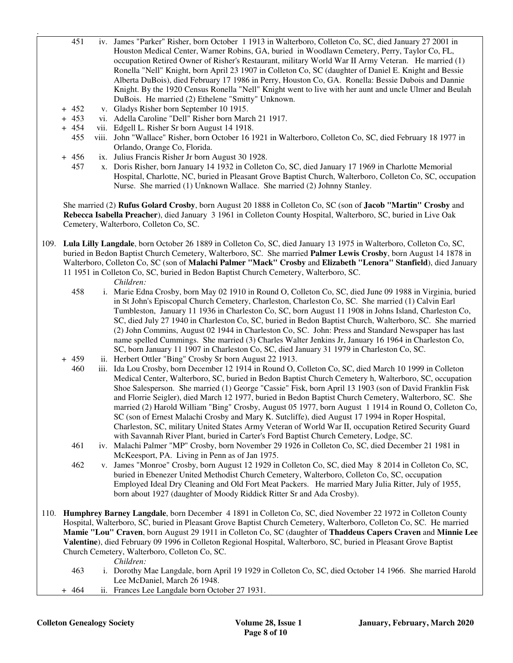- 451 iv. James "Parker" Risher, born October 1 1913 in Walterboro, Colleton Co, SC, died January 27 2001 in Houston Medical Center, Warner Robins, GA, buried in Woodlawn Cemetery, Perry, Taylor Co, FL, occupation Retired Owner of Risher's Restaurant, military World War II Army Veteran. He married (1) Ronella "Nell" Knight, born April 23 1907 in Colleton Co, SC (daughter of Daniel E. Knight and Bessie Alberta DuBois), died February 17 1986 in Perry, Houston Co, GA. Ronella: Bessie Dubois and Dannie Knight. By the 1920 Census Ronella "Nell" Knight went to live with her aunt and uncle Ulmer and Beulah DuBois. He married (2) Ethelene "Smitty" Unknown.
- + 452 v. Gladys Risher born September 10 1915.
- + 453 vi. Adella Caroline "Dell" Risher born March 21 1917.
- + 454 vii. Edgell L. Risher Sr born August 14 1918.
	- 455 viii. John "Wallace" Risher, born October 16 1921 in Walterboro, Colleton Co, SC, died February 18 1977 in Orlando, Orange Co, Florida.
- + 456 ix. Julius Francis Risher Jr born August 30 1928.
	- 457 x. Doris Risher, born January 14 1932 in Colleton Co, SC, died January 17 1969 in Charlotte Memorial Hospital, Charlotte, NC, buried in Pleasant Grove Baptist Church, Walterboro, Colleton Co, SC, occupation Nurse. She married (1) Unknown Wallace. She married (2) Johnny Stanley.

 She married (2) **Rufus Golard Crosby**, born August 20 1888 in Colleton Co, SC (son of **Jacob "Martin" Crosby** and **Rebecca Isabella Preacher**), died January 3 1961 in Colleton County Hospital, Walterboro, SC, buried in Live Oak Cemetery, Walterboro, Colleton Co, SC.

109. **Lula Lilly Langdale**, born October 26 1889 in Colleton Co, SC, died January 13 1975 in Walterboro, Colleton Co, SC, buried in Bedon Baptist Church Cemetery, Walterboro, SC. She married **Palmer Lewis Crosby**, born August 14 1878 in Walterboro, Colleton Co, SC (son of **Malachi Palmer "Mack" Crosby** and **Elizabeth "Lenora" Stanfield**), died January 11 1951 in Colleton Co, SC, buried in Bedon Baptist Church Cemetery, Walterboro, SC.

*Children:*

.

- 458 i. Marie Edna Crosby, born May 02 1910 in Round O, Colleton Co, SC, died June 09 1988 in Virginia, buried in St John's Episcopal Church Cemetery, Charleston, Charleston Co, SC. She married (1) Calvin Earl Tumbleston, January 11 1936 in Charleston Co, SC, born August 11 1908 in Johns Island, Charleston Co, SC, died July 27 1940 in Charleston Co, SC, buried in Bedon Baptist Church, Walterboro, SC. She married (2) John Commins, August 02 1944 in Charleston Co, SC. John: Press and Standard Newspaper has last name spelled Cummings. She married (3) Charles Walter Jenkins Jr, January 16 1964 in Charleston Co, SC, born January 11 1907 in Charleston Co, SC, died January 31 1979 in Charleston Co, SC.
- + 459 ii. Herbert Ottler "Bing" Crosby Sr born August 22 1913.
	- 460 iii. Ida Lou Crosby, born December 12 1914 in Round O, Colleton Co, SC, died March 10 1999 in Colleton Medical Center, Walterboro, SC, buried in Bedon Baptist Church Cemetery h, Walterboro, SC, occupation Shoe Salesperson. She married (1) George "Cassie" Fisk, born April 13 1903 (son of David Franklin Fisk and Florrie Seigler), died March 12 1977, buried in Bedon Baptist Church Cemetery, Walterboro, SC. She married (2) Harold William "Bing" Crosby, August 05 1977, born August 1 1914 in Round O, Colleton Co, SC (son of Ernest Malachi Crosby and Mary K. Sutcliffe), died August 17 1994 in Roper Hospital, Charleston, SC, military United States Army Veteran of World War II, occupation Retired Security Guard with Savannah River Plant, buried in Carter's Ford Baptist Church Cemetery, Lodge, SC.
	- 461 iv. Malachi Palmer "MP" Crosby, born November 29 1926 in Colleton Co, SC, died December 21 1981 in McKeesport, PA. Living in Penn as of Jan 1975.
	- 462 v. James "Monroe" Crosby, born August 12 1929 in Colleton Co, SC, died May 8 2014 in Colleton Co, SC, buried in Ebenezer United Methodist Church Cemetery, Walterboro, Colleton Co, SC, occupation Employed Ideal Dry Cleaning and Old Fort Meat Packers. He married Mary Julia Ritter, July of 1955, born about 1927 (daughter of Moody Riddick Ritter Sr and Ada Crosby).
- 110. **Humphrey Barney Langdale**, born December 4 1891 in Colleton Co, SC, died November 22 1972 in Colleton County Hospital, Walterboro, SC, buried in Pleasant Grove Baptist Church Cemetery, Walterboro, Colleton Co, SC. He married **Mamie "Lou" Craven**, born August 29 1911 in Colleton Co, SC (daughter of **Thaddeus Capers Craven** and **Minnie Lee Valentine**), died February 09 1996 in Colleton Regional Hospital, Walterboro, SC, buried in Pleasant Grove Baptist Church Cemetery, Walterboro, Colleton Co, SC.

- 463 i. Dorothy Mae Langdale, born April 19 1929 in Colleton Co, SC, died October 14 1966. She married Harold Lee McDaniel, March 26 1948.
- + 464 ii. Frances Lee Langdale born October 27 1931.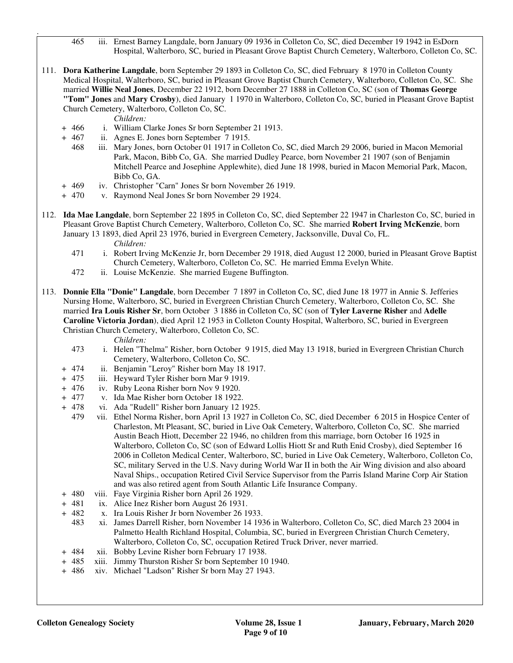465 iii. Ernest Barney Langdale, born January 09 1936 in Colleton Co, SC, died December 19 1942 in EsDorn Hospital, Walterboro, SC, buried in Pleasant Grove Baptist Church Cemetery, Walterboro, Colleton Co, SC.

111. **Dora Katherine Langdale**, born September 29 1893 in Colleton Co, SC, died February 8 1970 in Colleton County Medical Hospital, Walterboro, SC, buried in Pleasant Grove Baptist Church Cemetery, Walterboro, Colleton Co, SC. She married **Willie Neal Jones**, December 22 1912, born December 27 1888 in Colleton Co, SC (son of **Thomas George "Tom" Jones** and **Mary Crosby**), died January 1 1970 in Walterboro, Colleton Co, SC, buried in Pleasant Grove Baptist Church Cemetery, Walterboro, Colleton Co, SC.

*Children:*

.

- + 466 i. William Clarke Jones Sr born September 21 1913.
- + 467 ii. Agnes E. Jones born September 7 1915.
	- 468 iii. Mary Jones, born October 01 1917 in Colleton Co, SC, died March 29 2006, buried in Macon Memorial Park, Macon, Bibb Co, GA. She married Dudley Pearce, born November 21 1907 (son of Benjamin Mitchell Pearce and Josephine Applewhite), died June 18 1998, buried in Macon Memorial Park, Macon, Bibb Co, GA.
- + 469 iv. Christopher "Carn" Jones Sr born November 26 1919.
- + 470 v. Raymond Neal Jones Sr born November 29 1924.
- 112. **Ida Mae Langdale**, born September 22 1895 in Colleton Co, SC, died September 22 1947 in Charleston Co, SC, buried in Pleasant Grove Baptist Church Cemetery, Walterboro, Colleton Co, SC. She married **Robert Irving McKenzie**, born January 13 1893, died April 23 1976, buried in Evergreen Cemetery, Jacksonville, Duval Co, FL. *Children:*
	- 471 i. Robert Irving McKenzie Jr, born December 29 1918, died August 12 2000, buried in Pleasant Grove Baptist Church Cemetery, Walterboro, Colleton Co, SC. He married Emma Evelyn White.
	- 472 ii. Louise McKenzie. She married Eugene Buffington.
- 113. **Donnie Ella "Donie" Langdale**, born December 7 1897 in Colleton Co, SC, died June 18 1977 in Annie S. Jefferies Nursing Home, Walterboro, SC, buried in Evergreen Christian Church Cemetery, Walterboro, Colleton Co, SC. She married **Ira Louis Risher Sr**, born October 3 1886 in Colleton Co, SC (son of **Tyler Laverne Risher** and **Adelle Caroline Victoria Jordan**), died April 12 1953 in Colleton County Hospital, Walterboro, SC, buried in Evergreen Christian Church Cemetery, Walterboro, Colleton Co, SC.

- 473 i. Helen "Thelma" Risher, born October 9 1915, died May 13 1918, buried in Evergreen Christian Church Cemetery, Walterboro, Colleton Co, SC.
- + 474 ii. Benjamin "Leroy" Risher born May 18 1917.
- + 475 iii. Heyward Tyler Risher born Mar 9 1919.
- + 476 iv. Ruby Leona Risher born Nov 9 1920.
- + 477 v. Ida Mae Risher born October 18 1922.
- + 478 vi. Ada "Rudell" Risher born January 12 1925.
	- 479 vii. Ethel Norma Risher, born April 13 1927 in Colleton Co, SC, died December 6 2015 in Hospice Center of Charleston, Mt Pleasant, SC, buried in Live Oak Cemetery, Walterboro, Colleton Co, SC. She married Austin Beach Hiott, December 22 1946, no children from this marriage, born October 16 1925 in Walterboro, Colleton Co, SC (son of Edward Lollis Hiott Sr and Ruth Enid Crosby), died September 16 2006 in Colleton Medical Center, Walterboro, SC, buried in Live Oak Cemetery, Walterboro, Colleton Co, SC, military Served in the U.S. Navy during World War II in both the Air Wing division and also aboard Naval Ships., occupation Retired Civil Service Supervisor from the Parris Island Marine Corp Air Station and was also retired agent from South Atlantic Life Insurance Company.
- + 480 viii. Faye Virginia Risher born April 26 1929.
- + 481 ix. Alice Inez Risher born August 26 1931.
- + 482 x. Ira Louis Risher Jr born November 26 1933.
	- 483 xi. James Darrell Risher, born November 14 1936 in Walterboro, Colleton Co, SC, died March 23 2004 in Palmetto Health Richland Hospital, Columbia, SC, buried in Evergreen Christian Church Cemetery, Walterboro, Colleton Co, SC, occupation Retired Truck Driver, never married.
- + 484 xii. Bobby Levine Risher born February 17 1938.
- + 485 xiii. Jimmy Thurston Risher Sr born September 10 1940.
- + 486 xiv. Michael "Ladson" Risher Sr born May 27 1943.